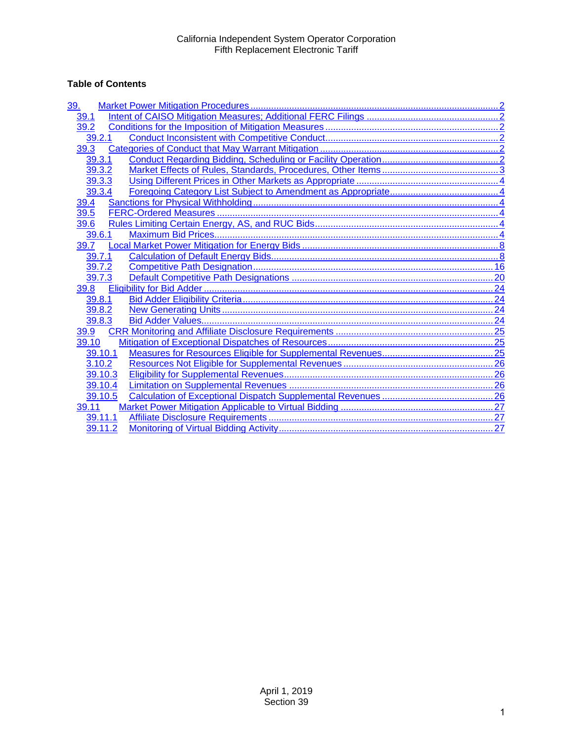## **Table of Contents**

| 39.     |
|---------|
| 39.1    |
| 39.2    |
| 39.2.1  |
| 39.3    |
| 39.3.1  |
| 39.3.2  |
| 39.3.3  |
| 39.3.4  |
| 39.4    |
| 39.5    |
| 39.6    |
| 39.6.1  |
| 39.7    |
| 39.7.1  |
| 39.7.2  |
| 39.7.3  |
| 39.8    |
| 39.8.1  |
| 39.8.2  |
| 39.8.3  |
| 39.9    |
| 39.10   |
| 39.10.1 |
| 3.10.2  |
| 39.10.3 |
| 39.10.4 |
| 39.10.5 |
| 39.11   |
| 39.11.1 |
| 39.11.2 |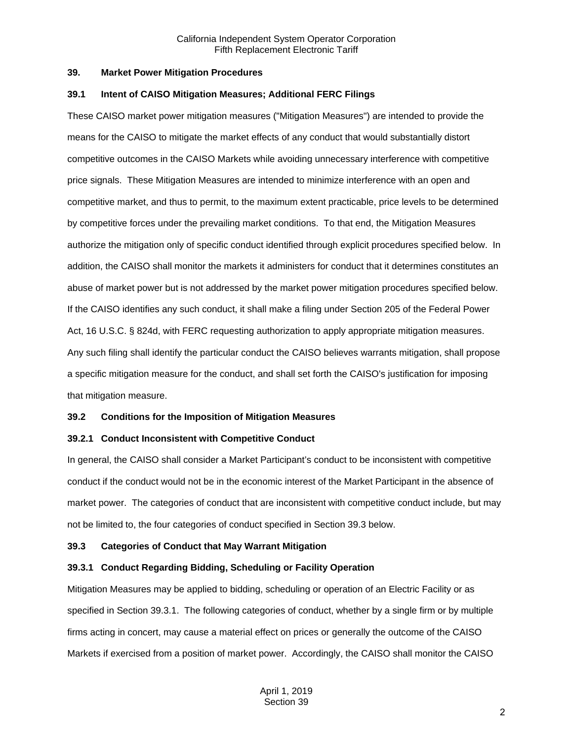#### <span id="page-1-0"></span>**39. Market Power Mitigation Procedures**

#### <span id="page-1-1"></span>**39.1 Intent of CAISO Mitigation Measures; Additional FERC Filings**

These CAISO market power mitigation measures ("Mitigation Measures") are intended to provide the means for the CAISO to mitigate the market effects of any conduct that would substantially distort competitive outcomes in the CAISO Markets while avoiding unnecessary interference with competitive price signals. These Mitigation Measures are intended to minimize interference with an open and competitive market, and thus to permit, to the maximum extent practicable, price levels to be determined by competitive forces under the prevailing market conditions. To that end, the Mitigation Measures authorize the mitigation only of specific conduct identified through explicit procedures specified below. In addition, the CAISO shall monitor the markets it administers for conduct that it determines constitutes an abuse of market power but is not addressed by the market power mitigation procedures specified below. If the CAISO identifies any such conduct, it shall make a filing under Section 205 of the Federal Power Act, 16 U.S.C. § 824d, with FERC requesting authorization to apply appropriate mitigation measures. Any such filing shall identify the particular conduct the CAISO believes warrants mitigation, shall propose a specific mitigation measure for the conduct, and shall set forth the CAISO's justification for imposing that mitigation measure.

## <span id="page-1-2"></span>**39.2 Conditions for the Imposition of Mitigation Measures**

## <span id="page-1-3"></span>**39.2.1 Conduct Inconsistent with Competitive Conduct**

In general, the CAISO shall consider a Market Participant's conduct to be inconsistent with competitive conduct if the conduct would not be in the economic interest of the Market Participant in the absence of market power. The categories of conduct that are inconsistent with competitive conduct include, but may not be limited to, the four categories of conduct specified in Section 39.3 below.

## <span id="page-1-4"></span>**39.3 Categories of Conduct that May Warrant Mitigation**

## <span id="page-1-5"></span>**39.3.1 Conduct Regarding Bidding, Scheduling or Facility Operation**

Mitigation Measures may be applied to bidding, scheduling or operation of an Electric Facility or as specified in Section 39.3.1. The following categories of conduct, whether by a single firm or by multiple firms acting in concert, may cause a material effect on prices or generally the outcome of the CAISO Markets if exercised from a position of market power. Accordingly, the CAISO shall monitor the CAISO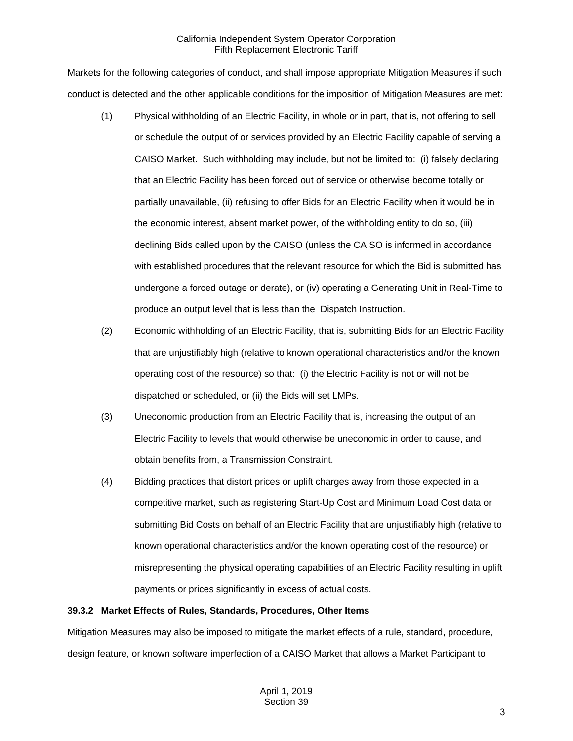Markets for the following categories of conduct, and shall impose appropriate Mitigation Measures if such conduct is detected and the other applicable conditions for the imposition of Mitigation Measures are met:

- (1) Physical withholding of an Electric Facility, in whole or in part, that is, not offering to sell or schedule the output of or services provided by an Electric Facility capable of serving a CAISO Market. Such withholding may include, but not be limited to: (i) falsely declaring that an Electric Facility has been forced out of service or otherwise become totally or partially unavailable, (ii) refusing to offer Bids for an Electric Facility when it would be in the economic interest, absent market power, of the withholding entity to do so, (iii) declining Bids called upon by the CAISO (unless the CAISO is informed in accordance with established procedures that the relevant resource for which the Bid is submitted has undergone a forced outage or derate), or (iv) operating a Generating Unit in Real-Time to produce an output level that is less than the Dispatch Instruction.
- (2) Economic withholding of an Electric Facility, that is, submitting Bids for an Electric Facility that are unjustifiably high (relative to known operational characteristics and/or the known operating cost of the resource) so that: (i) the Electric Facility is not or will not be dispatched or scheduled, or (ii) the Bids will set LMPs.
- (3) Uneconomic production from an Electric Facility that is, increasing the output of an Electric Facility to levels that would otherwise be uneconomic in order to cause, and obtain benefits from, a Transmission Constraint.
- (4) Bidding practices that distort prices or uplift charges away from those expected in a competitive market, such as registering Start-Up Cost and Minimum Load Cost data or submitting Bid Costs on behalf of an Electric Facility that are unjustifiably high (relative to known operational characteristics and/or the known operating cost of the resource) or misrepresenting the physical operating capabilities of an Electric Facility resulting in uplift payments or prices significantly in excess of actual costs.

#### <span id="page-2-0"></span>**39.3.2 Market Effects of Rules, Standards, Procedures, Other Items**

Mitigation Measures may also be imposed to mitigate the market effects of a rule, standard, procedure, design feature, or known software imperfection of a CAISO Market that allows a Market Participant to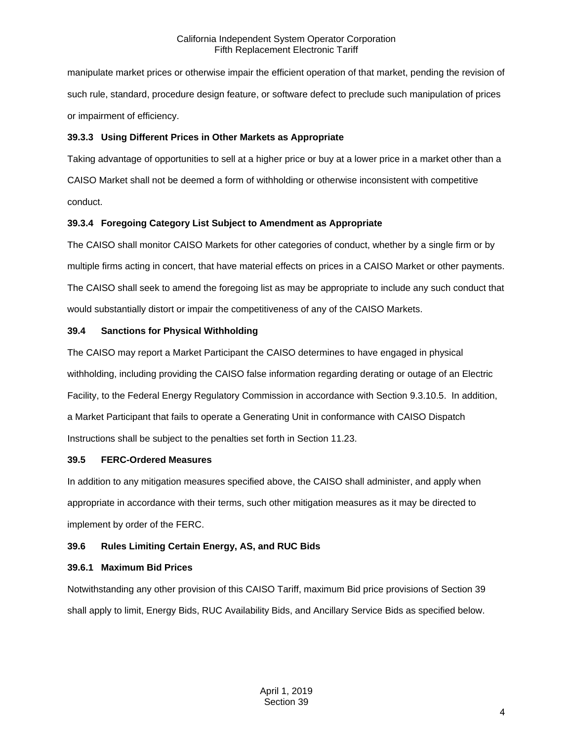manipulate market prices or otherwise impair the efficient operation of that market, pending the revision of such rule, standard, procedure design feature, or software defect to preclude such manipulation of prices or impairment of efficiency.

## <span id="page-3-0"></span>**39.3.3 Using Different Prices in Other Markets as Appropriate**

Taking advantage of opportunities to sell at a higher price or buy at a lower price in a market other than a CAISO Market shall not be deemed a form of withholding or otherwise inconsistent with competitive conduct.

## <span id="page-3-1"></span>**39.3.4 Foregoing Category List Subject to Amendment as Appropriate**

The CAISO shall monitor CAISO Markets for other categories of conduct, whether by a single firm or by multiple firms acting in concert, that have material effects on prices in a CAISO Market or other payments. The CAISO shall seek to amend the foregoing list as may be appropriate to include any such conduct that would substantially distort or impair the competitiveness of any of the CAISO Markets.

## <span id="page-3-2"></span>**39.4 Sanctions for Physical Withholding**

The CAISO may report a Market Participant the CAISO determines to have engaged in physical withholding, including providing the CAISO false information regarding derating or outage of an Electric Facility, to the Federal Energy Regulatory Commission in accordance with Section 9.3.10.5. In addition, a Market Participant that fails to operate a Generating Unit in conformance with CAISO Dispatch Instructions shall be subject to the penalties set forth in Section 11.23.

## <span id="page-3-3"></span>**39.5 FERC-Ordered Measures**

In addition to any mitigation measures specified above, the CAISO shall administer, and apply when appropriate in accordance with their terms, such other mitigation measures as it may be directed to implement by order of the FERC.

## <span id="page-3-4"></span>**39.6 Rules Limiting Certain Energy, AS, and RUC Bids**

## <span id="page-3-5"></span>**39.6.1 Maximum Bid Prices**

Notwithstanding any other provision of this CAISO Tariff, maximum Bid price provisions of Section 39 shall apply to limit, Energy Bids, RUC Availability Bids, and Ancillary Service Bids as specified below.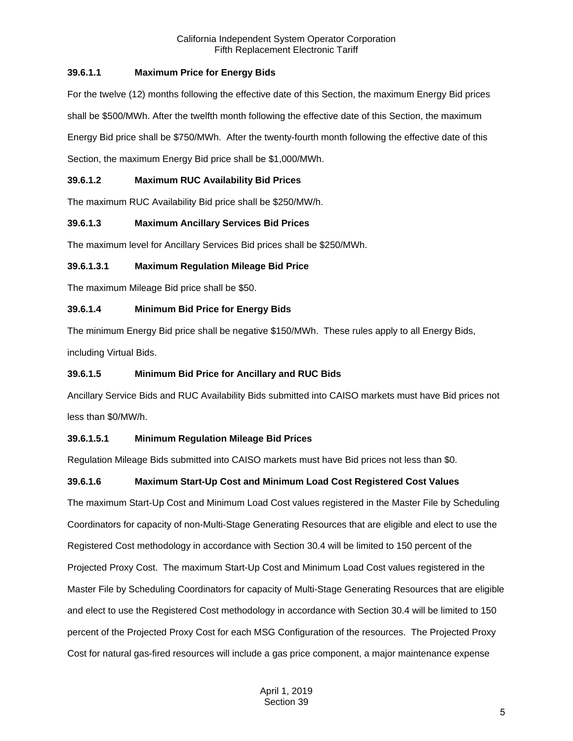## **39.6.1.1 Maximum Price for Energy Bids**

For the twelve (12) months following the effective date of this Section, the maximum Energy Bid prices shall be \$500/MWh. After the twelfth month following the effective date of this Section, the maximum Energy Bid price shall be \$750/MWh. After the twenty-fourth month following the effective date of this Section, the maximum Energy Bid price shall be \$1,000/MWh.

## **39.6.1.2 Maximum RUC Availability Bid Prices**

The maximum RUC Availability Bid price shall be \$250/MW/h.

## **39.6.1.3 Maximum Ancillary Services Bid Prices**

The maximum level for Ancillary Services Bid prices shall be \$250/MWh.

## **39.6.1.3.1 Maximum Regulation Mileage Bid Price**

The maximum Mileage Bid price shall be \$50.

## **39.6.1.4 Minimum Bid Price for Energy Bids**

The minimum Energy Bid price shall be negative \$150/MWh. These rules apply to all Energy Bids, including Virtual Bids.

## **39.6.1.5 Minimum Bid Price for Ancillary and RUC Bids**

Ancillary Service Bids and RUC Availability Bids submitted into CAISO markets must have Bid prices not less than \$0/MW/h.

## **39.6.1.5.1 Minimum Regulation Mileage Bid Prices**

Regulation Mileage Bids submitted into CAISO markets must have Bid prices not less than \$0.

## **39.6.1.6 Maximum Start-Up Cost and Minimum Load Cost Registered Cost Values**

The maximum Start-Up Cost and Minimum Load Cost values registered in the Master File by Scheduling Coordinators for capacity of non-Multi-Stage Generating Resources that are eligible and elect to use the Registered Cost methodology in accordance with Section 30.4 will be limited to 150 percent of the Projected Proxy Cost. The maximum Start-Up Cost and Minimum Load Cost values registered in the Master File by Scheduling Coordinators for capacity of Multi-Stage Generating Resources that are eligible and elect to use the Registered Cost methodology in accordance with Section 30.4 will be limited to 150 percent of the Projected Proxy Cost for each MSG Configuration of the resources. The Projected Proxy Cost for natural gas-fired resources will include a gas price component, a major maintenance expense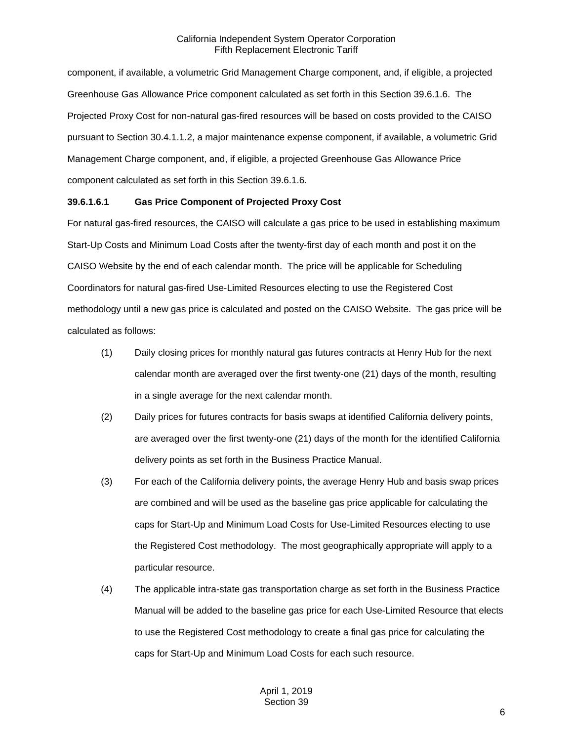component, if available, a volumetric Grid Management Charge component, and, if eligible, a projected Greenhouse Gas Allowance Price component calculated as set forth in this Section 39.6.1.6. The Projected Proxy Cost for non-natural gas-fired resources will be based on costs provided to the CAISO pursuant to Section 30.4.1.1.2, a major maintenance expense component, if available, a volumetric Grid Management Charge component, and, if eligible, a projected Greenhouse Gas Allowance Price component calculated as set forth in this Section 39.6.1.6.

#### **39.6.1.6.1 Gas Price Component of Projected Proxy Cost**

For natural gas-fired resources, the CAISO will calculate a gas price to be used in establishing maximum Start-Up Costs and Minimum Load Costs after the twenty-first day of each month and post it on the CAISO Website by the end of each calendar month. The price will be applicable for Scheduling Coordinators for natural gas-fired Use-Limited Resources electing to use the Registered Cost methodology until a new gas price is calculated and posted on the CAISO Website. The gas price will be calculated as follows:

- (1) Daily closing prices for monthly natural gas futures contracts at Henry Hub for the next calendar month are averaged over the first twenty-one (21) days of the month, resulting in a single average for the next calendar month.
- (2) Daily prices for futures contracts for basis swaps at identified California delivery points, are averaged over the first twenty-one (21) days of the month for the identified California delivery points as set forth in the Business Practice Manual.
- (3) For each of the California delivery points, the average Henry Hub and basis swap prices are combined and will be used as the baseline gas price applicable for calculating the caps for Start-Up and Minimum Load Costs for Use-Limited Resources electing to use the Registered Cost methodology. The most geographically appropriate will apply to a particular resource.
- (4) The applicable intra-state gas transportation charge as set forth in the Business Practice Manual will be added to the baseline gas price for each Use-Limited Resource that elects to use the Registered Cost methodology to create a final gas price for calculating the caps for Start-Up and Minimum Load Costs for each such resource.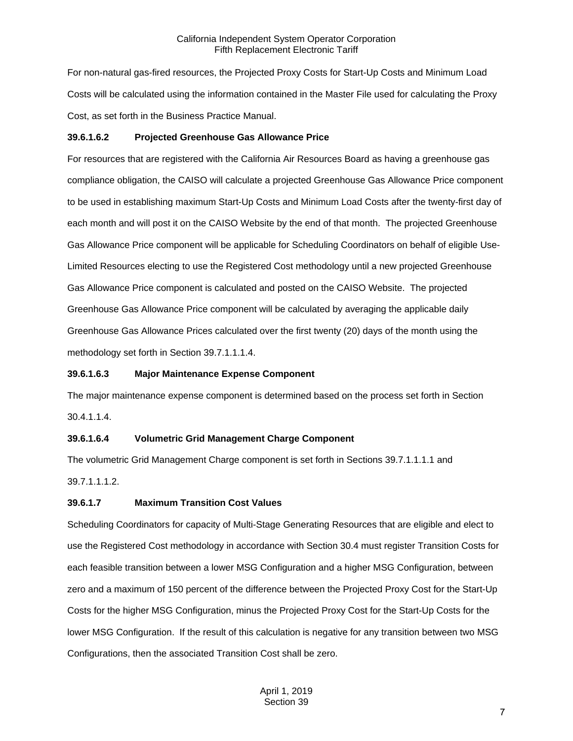For non-natural gas-fired resources, the Projected Proxy Costs for Start-Up Costs and Minimum Load Costs will be calculated using the information contained in the Master File used for calculating the Proxy Cost, as set forth in the Business Practice Manual.

## **39.6.1.6.2 Projected Greenhouse Gas Allowance Price**

For resources that are registered with the California Air Resources Board as having a greenhouse gas compliance obligation, the CAISO will calculate a projected Greenhouse Gas Allowance Price component to be used in establishing maximum Start-Up Costs and Minimum Load Costs after the twenty-first day of each month and will post it on the CAISO Website by the end of that month. The projected Greenhouse Gas Allowance Price component will be applicable for Scheduling Coordinators on behalf of eligible Use-Limited Resources electing to use the Registered Cost methodology until a new projected Greenhouse Gas Allowance Price component is calculated and posted on the CAISO Website. The projected Greenhouse Gas Allowance Price component will be calculated by averaging the applicable daily Greenhouse Gas Allowance Prices calculated over the first twenty (20) days of the month using the methodology set forth in Section 39.7.1.1.1.4.

## **39.6.1.6.3 Major Maintenance Expense Component**

The major maintenance expense component is determined based on the process set forth in Section 30.4.1.1.4.

## **39.6.1.6.4 Volumetric Grid Management Charge Component**

The volumetric Grid Management Charge component is set forth in Sections 39.7.1.1.1.1 and 39.7.1.1.1.2.

## **39.6.1.7 Maximum Transition Cost Values**

Scheduling Coordinators for capacity of Multi-Stage Generating Resources that are eligible and elect to use the Registered Cost methodology in accordance with Section 30.4 must register Transition Costs for each feasible transition between a lower MSG Configuration and a higher MSG Configuration, between zero and a maximum of 150 percent of the difference between the Projected Proxy Cost for the Start-Up Costs for the higher MSG Configuration, minus the Projected Proxy Cost for the Start-Up Costs for the lower MSG Configuration. If the result of this calculation is negative for any transition between two MSG Configurations, then the associated Transition Cost shall be zero.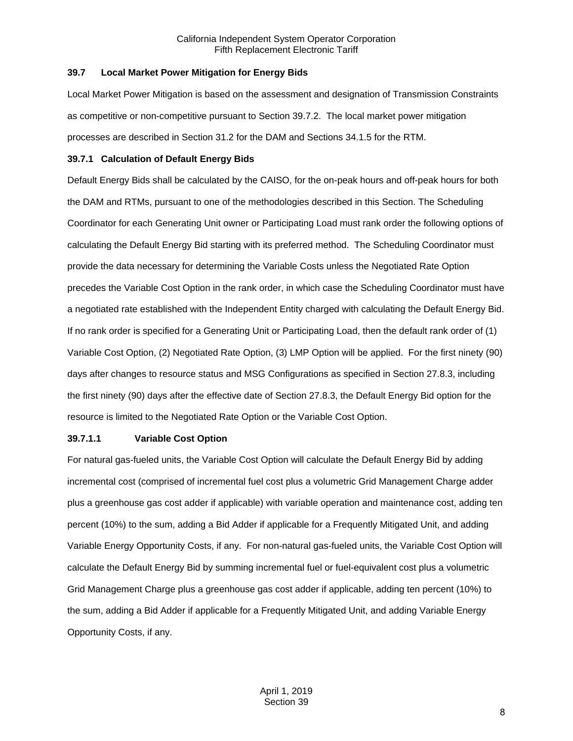#### <span id="page-7-0"></span>**39.7 Local Market Power Mitigation for Energy Bids**

Local Market Power Mitigation is based on the assessment and designation of Transmission Constraints as competitive or non-competitive pursuant to Section 39.7.2. The local market power mitigation processes are described in Section 31.2 for the DAM and Sections 34.1.5 for the RTM.

#### <span id="page-7-1"></span>**39.7.1 Calculation of Default Energy Bids**

Default Energy Bids shall be calculated by the CAISO, for the on-peak hours and off-peak hours for both the DAM and RTMs, pursuant to one of the methodologies described in this Section. The Scheduling Coordinator for each Generating Unit owner or Participating Load must rank order the following options of calculating the Default Energy Bid starting with its preferred method. The Scheduling Coordinator must provide the data necessary for determining the Variable Costs unless the Negotiated Rate Option precedes the Variable Cost Option in the rank order, in which case the Scheduling Coordinator must have a negotiated rate established with the Independent Entity charged with calculating the Default Energy Bid. If no rank order is specified for a Generating Unit or Participating Load, then the default rank order of (1) Variable Cost Option, (2) Negotiated Rate Option, (3) LMP Option will be applied. For the first ninety (90) days after changes to resource status and MSG Configurations as specified in Section 27.8.3, including the first ninety (90) days after the effective date of Section 27.8.3, the Default Energy Bid option for the resource is limited to the Negotiated Rate Option or the Variable Cost Option.

## **39.7.1.1 Variable Cost Option**

For natural gas-fueled units, the Variable Cost Option will calculate the Default Energy Bid by adding incremental cost (comprised of incremental fuel cost plus a volumetric Grid Management Charge adder plus a greenhouse gas cost adder if applicable) with variable operation and maintenance cost, adding ten percent (10%) to the sum, adding a Bid Adder if applicable for a Frequently Mitigated Unit, and adding Variable Energy Opportunity Costs, if any. For non-natural gas-fueled units, the Variable Cost Option will calculate the Default Energy Bid by summing incremental fuel or fuel-equivalent cost plus a volumetric Grid Management Charge plus a greenhouse gas cost adder if applicable, adding ten percent (10%) to the sum, adding a Bid Adder if applicable for a Frequently Mitigated Unit, and adding Variable Energy Opportunity Costs, if any.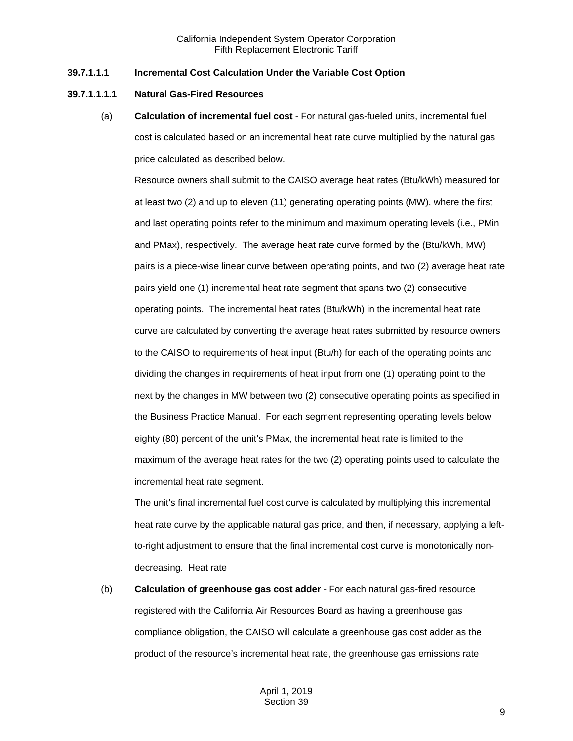#### **39.7.1.1.1 Incremental Cost Calculation Under the Variable Cost Option**

#### **39.7.1.1.1.1 Natural Gas-Fired Resources**

(a) **Calculation of incremental fuel cost** - For natural gas-fueled units, incremental fuel cost is calculated based on an incremental heat rate curve multiplied by the natural gas price calculated as described below.

Resource owners shall submit to the CAISO average heat rates (Btu/kWh) measured for at least two (2) and up to eleven (11) generating operating points (MW), where the first and last operating points refer to the minimum and maximum operating levels (i.e., PMin and PMax), respectively. The average heat rate curve formed by the (Btu/kWh, MW) pairs is a piece-wise linear curve between operating points, and two (2) average heat rate pairs yield one (1) incremental heat rate segment that spans two (2) consecutive operating points. The incremental heat rates (Btu/kWh) in the incremental heat rate curve are calculated by converting the average heat rates submitted by resource owners to the CAISO to requirements of heat input (Btu/h) for each of the operating points and dividing the changes in requirements of heat input from one (1) operating point to the next by the changes in MW between two (2) consecutive operating points as specified in the Business Practice Manual. For each segment representing operating levels below eighty (80) percent of the unit's PMax, the incremental heat rate is limited to the maximum of the average heat rates for the two (2) operating points used to calculate the incremental heat rate segment.

The unit's final incremental fuel cost curve is calculated by multiplying this incremental heat rate curve by the applicable natural gas price, and then, if necessary, applying a leftto-right adjustment to ensure that the final incremental cost curve is monotonically nondecreasing. Heat rate

(b) **Calculation of greenhouse gas cost adder** - For each natural gas-fired resource registered with the California Air Resources Board as having a greenhouse gas compliance obligation, the CAISO will calculate a greenhouse gas cost adder as the product of the resource's incremental heat rate, the greenhouse gas emissions rate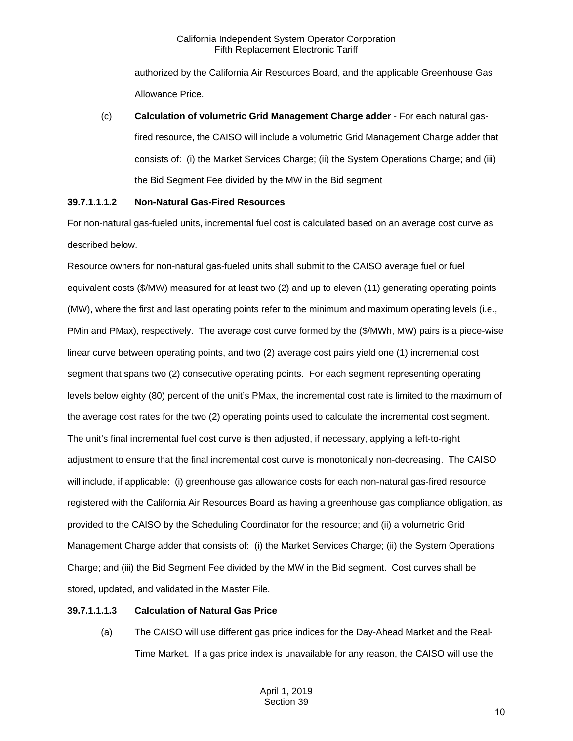authorized by the California Air Resources Board, and the applicable Greenhouse Gas Allowance Price.

(c) **Calculation of volumetric Grid Management Charge adder** - For each natural gasfired resource, the CAISO will include a volumetric Grid Management Charge adder that consists of: (i) the Market Services Charge; (ii) the System Operations Charge; and (iii) the Bid Segment Fee divided by the MW in the Bid segment

## **39.7.1.1.1.2 Non-Natural Gas-Fired Resources**

For non-natural gas-fueled units, incremental fuel cost is calculated based on an average cost curve as described below.

Resource owners for non-natural gas-fueled units shall submit to the CAISO average fuel or fuel equivalent costs (\$/MW) measured for at least two (2) and up to eleven (11) generating operating points (MW), where the first and last operating points refer to the minimum and maximum operating levels (i.e., PMin and PMax), respectively. The average cost curve formed by the (\$/MWh, MW) pairs is a piece-wise linear curve between operating points, and two (2) average cost pairs yield one (1) incremental cost segment that spans two (2) consecutive operating points. For each segment representing operating levels below eighty (80) percent of the unit's PMax, the incremental cost rate is limited to the maximum of the average cost rates for the two (2) operating points used to calculate the incremental cost segment. The unit's final incremental fuel cost curve is then adjusted, if necessary, applying a left-to-right adjustment to ensure that the final incremental cost curve is monotonically non-decreasing. The CAISO will include, if applicable: (i) greenhouse gas allowance costs for each non-natural gas-fired resource registered with the California Air Resources Board as having a greenhouse gas compliance obligation, as provided to the CAISO by the Scheduling Coordinator for the resource; and (ii) a volumetric Grid Management Charge adder that consists of: (i) the Market Services Charge; (ii) the System Operations Charge; and (iii) the Bid Segment Fee divided by the MW in the Bid segment. Cost curves shall be stored, updated, and validated in the Master File.

## **39.7.1.1.1.3 Calculation of Natural Gas Price**

(a) The CAISO will use different gas price indices for the Day-Ahead Market and the Real-Time Market. If a gas price index is unavailable for any reason, the CAISO will use the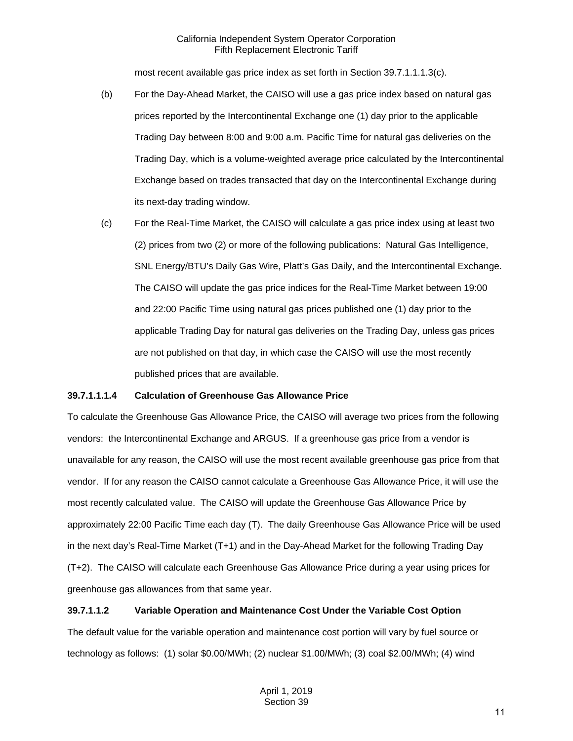most recent available gas price index as set forth in Section 39.7.1.1.1.3(c).

- (b) For the Day-Ahead Market, the CAISO will use a gas price index based on natural gas prices reported by the Intercontinental Exchange one (1) day prior to the applicable Trading Day between 8:00 and 9:00 a.m. Pacific Time for natural gas deliveries on the Trading Day, which is a volume-weighted average price calculated by the Intercontinental Exchange based on trades transacted that day on the Intercontinental Exchange during its next-day trading window.
- (c) For the Real-Time Market, the CAISO will calculate a gas price index using at least two (2) prices from two (2) or more of the following publications: Natural Gas Intelligence, SNL Energy/BTU's Daily Gas Wire, Platt's Gas Daily, and the Intercontinental Exchange. The CAISO will update the gas price indices for the Real-Time Market between 19:00 and 22:00 Pacific Time using natural gas prices published one (1) day prior to the applicable Trading Day for natural gas deliveries on the Trading Day, unless gas prices are not published on that day, in which case the CAISO will use the most recently published prices that are available.

## **39.7.1.1.1.4 Calculation of Greenhouse Gas Allowance Price**

To calculate the Greenhouse Gas Allowance Price, the CAISO will average two prices from the following vendors: the Intercontinental Exchange and ARGUS. If a greenhouse gas price from a vendor is unavailable for any reason, the CAISO will use the most recent available greenhouse gas price from that vendor. If for any reason the CAISO cannot calculate a Greenhouse Gas Allowance Price, it will use the most recently calculated value. The CAISO will update the Greenhouse Gas Allowance Price by approximately 22:00 Pacific Time each day (T). The daily Greenhouse Gas Allowance Price will be used in the next day's Real-Time Market (T+1) and in the Day-Ahead Market for the following Trading Day (T+2). The CAISO will calculate each Greenhouse Gas Allowance Price during a year using prices for greenhouse gas allowances from that same year.

## **39.7.1.1.2 Variable Operation and Maintenance Cost Under the Variable Cost Option**

The default value for the variable operation and maintenance cost portion will vary by fuel source or technology as follows: (1) solar \$0.00/MWh; (2) nuclear \$1.00/MWh; (3) coal \$2.00/MWh; (4) wind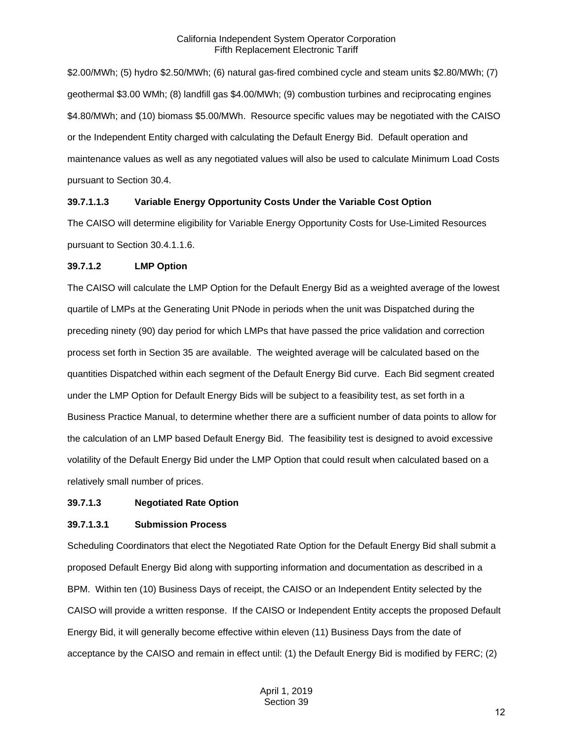\$2.00/MWh; (5) hydro \$2.50/MWh; (6) natural gas-fired combined cycle and steam units \$2.80/MWh; (7) geothermal \$3.00 WMh; (8) landfill gas \$4.00/MWh; (9) combustion turbines and reciprocating engines \$4.80/MWh; and (10) biomass \$5.00/MWh. Resource specific values may be negotiated with the CAISO or the Independent Entity charged with calculating the Default Energy Bid. Default operation and maintenance values as well as any negotiated values will also be used to calculate Minimum Load Costs pursuant to Section 30.4.

## **39.7.1.1.3 Variable Energy Opportunity Costs Under the Variable Cost Option**

The CAISO will determine eligibility for Variable Energy Opportunity Costs for Use-Limited Resources pursuant to Section 30.4.1.1.6.

#### **39.7.1.2 LMP Option**

The CAISO will calculate the LMP Option for the Default Energy Bid as a weighted average of the lowest quartile of LMPs at the Generating Unit PNode in periods when the unit was Dispatched during the preceding ninety (90) day period for which LMPs that have passed the price validation and correction process set forth in Section 35 are available. The weighted average will be calculated based on the quantities Dispatched within each segment of the Default Energy Bid curve. Each Bid segment created under the LMP Option for Default Energy Bids will be subject to a feasibility test, as set forth in a Business Practice Manual, to determine whether there are a sufficient number of data points to allow for the calculation of an LMP based Default Energy Bid. The feasibility test is designed to avoid excessive volatility of the Default Energy Bid under the LMP Option that could result when calculated based on a relatively small number of prices.

#### **39.7.1.3 Negotiated Rate Option**

#### **39.7.1.3.1 Submission Process**

Scheduling Coordinators that elect the Negotiated Rate Option for the Default Energy Bid shall submit a proposed Default Energy Bid along with supporting information and documentation as described in a BPM. Within ten (10) Business Days of receipt, the CAISO or an Independent Entity selected by the CAISO will provide a written response. If the CAISO or Independent Entity accepts the proposed Default Energy Bid, it will generally become effective within eleven (11) Business Days from the date of acceptance by the CAISO and remain in effect until: (1) the Default Energy Bid is modified by FERC; (2)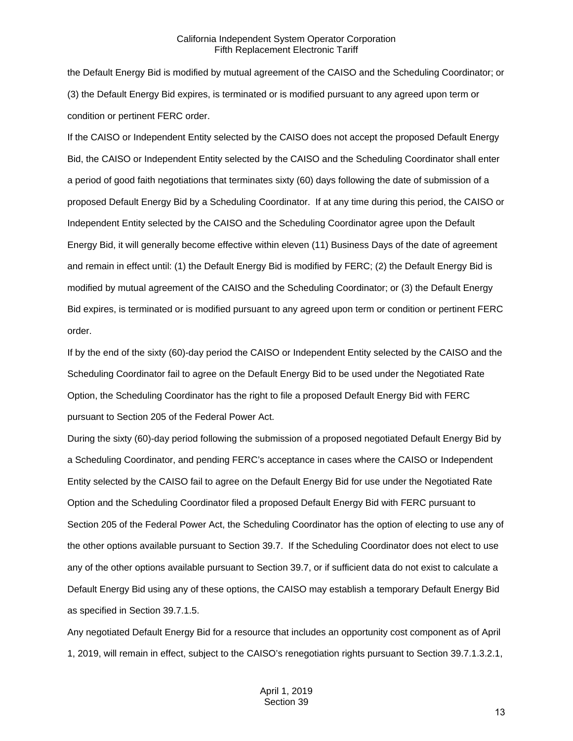the Default Energy Bid is modified by mutual agreement of the CAISO and the Scheduling Coordinator; or (3) the Default Energy Bid expires, is terminated or is modified pursuant to any agreed upon term or condition or pertinent FERC order.

If the CAISO or Independent Entity selected by the CAISO does not accept the proposed Default Energy Bid, the CAISO or Independent Entity selected by the CAISO and the Scheduling Coordinator shall enter a period of good faith negotiations that terminates sixty (60) days following the date of submission of a proposed Default Energy Bid by a Scheduling Coordinator. If at any time during this period, the CAISO or Independent Entity selected by the CAISO and the Scheduling Coordinator agree upon the Default Energy Bid, it will generally become effective within eleven (11) Business Days of the date of agreement and remain in effect until: (1) the Default Energy Bid is modified by FERC; (2) the Default Energy Bid is modified by mutual agreement of the CAISO and the Scheduling Coordinator; or (3) the Default Energy Bid expires, is terminated or is modified pursuant to any agreed upon term or condition or pertinent FERC order.

If by the end of the sixty (60)-day period the CAISO or Independent Entity selected by the CAISO and the Scheduling Coordinator fail to agree on the Default Energy Bid to be used under the Negotiated Rate Option, the Scheduling Coordinator has the right to file a proposed Default Energy Bid with FERC pursuant to Section 205 of the Federal Power Act.

During the sixty (60)-day period following the submission of a proposed negotiated Default Energy Bid by a Scheduling Coordinator, and pending FERC's acceptance in cases where the CAISO or Independent Entity selected by the CAISO fail to agree on the Default Energy Bid for use under the Negotiated Rate Option and the Scheduling Coordinator filed a proposed Default Energy Bid with FERC pursuant to Section 205 of the Federal Power Act, the Scheduling Coordinator has the option of electing to use any of the other options available pursuant to Section 39.7. If the Scheduling Coordinator does not elect to use any of the other options available pursuant to Section 39.7, or if sufficient data do not exist to calculate a Default Energy Bid using any of these options, the CAISO may establish a temporary Default Energy Bid as specified in Section 39.7.1.5.

Any negotiated Default Energy Bid for a resource that includes an opportunity cost component as of April 1, 2019, will remain in effect, subject to the CAISO's renegotiation rights pursuant to Section 39.7.1.3.2.1,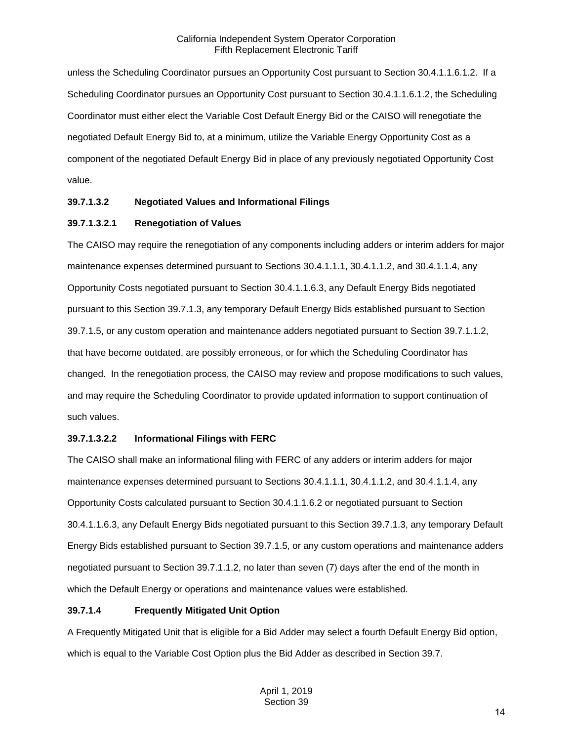unless the Scheduling Coordinator pursues an Opportunity Cost pursuant to Section 30.4.1.1.6.1.2. If a Scheduling Coordinator pursues an Opportunity Cost pursuant to Section 30.4.1.1.6.1.2, the Scheduling Coordinator must either elect the Variable Cost Default Energy Bid or the CAISO will renegotiate the negotiated Default Energy Bid to, at a minimum, utilize the Variable Energy Opportunity Cost as a component of the negotiated Default Energy Bid in place of any previously negotiated Opportunity Cost value.

## **39.7.1.3.2 Negotiated Values and Informational Filings**

## **39.7.1.3.2.1 Renegotiation of Values**

The CAISO may require the renegotiation of any components including adders or interim adders for major maintenance expenses determined pursuant to Sections 30.4.1.1.1, 30.4.1.1.2, and 30.4.1.1.4, any Opportunity Costs negotiated pursuant to Section 30.4.1.1.6.3, any Default Energy Bids negotiated pursuant to this Section 39.7.1.3, any temporary Default Energy Bids established pursuant to Section 39.7.1.5, or any custom operation and maintenance adders negotiated pursuant to Section 39.7.1.1.2, that have become outdated, are possibly erroneous, or for which the Scheduling Coordinator has changed. In the renegotiation process, the CAISO may review and propose modifications to such values, and may require the Scheduling Coordinator to provide updated information to support continuation of such values.

## **39.7.1.3.2.2 Informational Filings with FERC**

The CAISO shall make an informational filing with FERC of any adders or interim adders for major maintenance expenses determined pursuant to Sections 30.4.1.1.1, 30.4.1.1.2, and 30.4.1.1.4, any Opportunity Costs calculated pursuant to Section 30.4.1.1.6.2 or negotiated pursuant to Section 30.4.1.1.6.3, any Default Energy Bids negotiated pursuant to this Section 39.7.1.3, any temporary Default Energy Bids established pursuant to Section 39.7.1.5, or any custom operations and maintenance adders negotiated pursuant to Section 39.7.1.1.2, no later than seven (7) days after the end of the month in which the Default Energy or operations and maintenance values were established.

## **39.7.1.4 Frequently Mitigated Unit Option**

A Frequently Mitigated Unit that is eligible for a Bid Adder may select a fourth Default Energy Bid option, which is equal to the Variable Cost Option plus the Bid Adder as described in Section 39.7.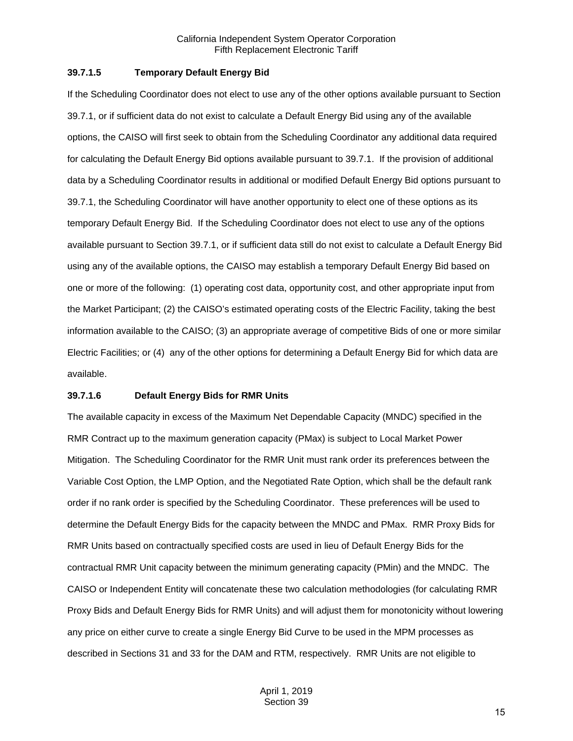#### **39.7.1.5 Temporary Default Energy Bid**

If the Scheduling Coordinator does not elect to use any of the other options available pursuant to Section 39.7.1, or if sufficient data do not exist to calculate a Default Energy Bid using any of the available options, the CAISO will first seek to obtain from the Scheduling Coordinator any additional data required for calculating the Default Energy Bid options available pursuant to 39.7.1. If the provision of additional data by a Scheduling Coordinator results in additional or modified Default Energy Bid options pursuant to 39.7.1, the Scheduling Coordinator will have another opportunity to elect one of these options as its temporary Default Energy Bid. If the Scheduling Coordinator does not elect to use any of the options available pursuant to Section 39.7.1, or if sufficient data still do not exist to calculate a Default Energy Bid using any of the available options, the CAISO may establish a temporary Default Energy Bid based on one or more of the following: (1) operating cost data, opportunity cost, and other appropriate input from the Market Participant; (2) the CAISO's estimated operating costs of the Electric Facility, taking the best information available to the CAISO; (3) an appropriate average of competitive Bids of one or more similar Electric Facilities; or (4) any of the other options for determining a Default Energy Bid for which data are available.

#### **39.7.1.6 Default Energy Bids for RMR Units**

The available capacity in excess of the Maximum Net Dependable Capacity (MNDC) specified in the RMR Contract up to the maximum generation capacity (PMax) is subject to Local Market Power Mitigation. The Scheduling Coordinator for the RMR Unit must rank order its preferences between the Variable Cost Option, the LMP Option, and the Negotiated Rate Option, which shall be the default rank order if no rank order is specified by the Scheduling Coordinator. These preferences will be used to determine the Default Energy Bids for the capacity between the MNDC and PMax. RMR Proxy Bids for RMR Units based on contractually specified costs are used in lieu of Default Energy Bids for the contractual RMR Unit capacity between the minimum generating capacity (PMin) and the MNDC. The CAISO or Independent Entity will concatenate these two calculation methodologies (for calculating RMR Proxy Bids and Default Energy Bids for RMR Units) and will adjust them for monotonicity without lowering any price on either curve to create a single Energy Bid Curve to be used in the MPM processes as described in Sections 31 and 33 for the DAM and RTM, respectively. RMR Units are not eligible to

15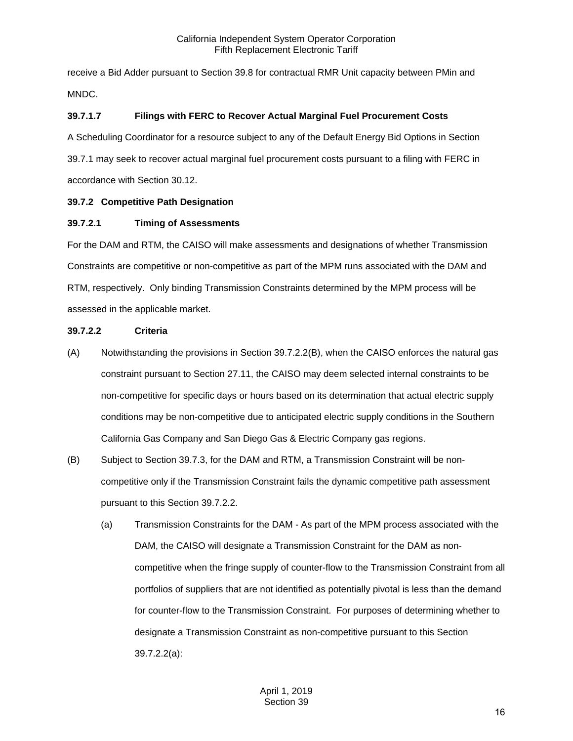receive a Bid Adder pursuant to Section 39.8 for contractual RMR Unit capacity between PMin and MNDC.

## **39.7.1.7 Filings with FERC to Recover Actual Marginal Fuel Procurement Costs**

A Scheduling Coordinator for a resource subject to any of the Default Energy Bid Options in Section 39.7.1 may seek to recover actual marginal fuel procurement costs pursuant to a filing with FERC in accordance with Section 30.12.

## <span id="page-15-0"></span>**39.7.2 Competitive Path Designation**

## **39.7.2.1 Timing of Assessments**

For the DAM and RTM, the CAISO will make assessments and designations of whether Transmission Constraints are competitive or non-competitive as part of the MPM runs associated with the DAM and RTM, respectively. Only binding Transmission Constraints determined by the MPM process will be assessed in the applicable market.

## **39.7.2.2 Criteria**

- (A) Notwithstanding the provisions in Section 39.7.2.2(B), when the CAISO enforces the natural gas constraint pursuant to Section 27.11, the CAISO may deem selected internal constraints to be non-competitive for specific days or hours based on its determination that actual electric supply conditions may be non-competitive due to anticipated electric supply conditions in the Southern California Gas Company and San Diego Gas & Electric Company gas regions.
- (B) Subject to Section 39.7.3, for the DAM and RTM, a Transmission Constraint will be noncompetitive only if the Transmission Constraint fails the dynamic competitive path assessment pursuant to this Section 39.7.2.2.
	- (a) Transmission Constraints for the DAM As part of the MPM process associated with the DAM, the CAISO will designate a Transmission Constraint for the DAM as noncompetitive when the fringe supply of counter-flow to the Transmission Constraint from all portfolios of suppliers that are not identified as potentially pivotal is less than the demand for counter-flow to the Transmission Constraint. For purposes of determining whether to designate a Transmission Constraint as non-competitive pursuant to this Section 39.7.2.2(a):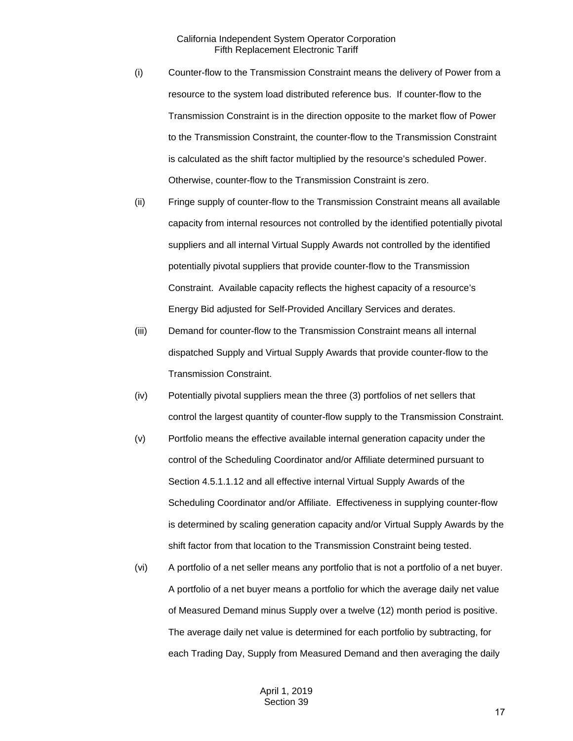- (i) Counter-flow to the Transmission Constraint means the delivery of Power from a resource to the system load distributed reference bus. If counter-flow to the Transmission Constraint is in the direction opposite to the market flow of Power to the Transmission Constraint, the counter-flow to the Transmission Constraint is calculated as the shift factor multiplied by the resource's scheduled Power. Otherwise, counter-flow to the Transmission Constraint is zero.
- (ii) Fringe supply of counter-flow to the Transmission Constraint means all available capacity from internal resources not controlled by the identified potentially pivotal suppliers and all internal Virtual Supply Awards not controlled by the identified potentially pivotal suppliers that provide counter-flow to the Transmission Constraint. Available capacity reflects the highest capacity of a resource's Energy Bid adjusted for Self-Provided Ancillary Services and derates.
- (iii) Demand for counter-flow to the Transmission Constraint means all internal dispatched Supply and Virtual Supply Awards that provide counter-flow to the Transmission Constraint.
- (iv) Potentially pivotal suppliers mean the three (3) portfolios of net sellers that control the largest quantity of counter-flow supply to the Transmission Constraint.
- (v) Portfolio means the effective available internal generation capacity under the control of the Scheduling Coordinator and/or Affiliate determined pursuant to Section 4.5.1.1.12 and all effective internal Virtual Supply Awards of the Scheduling Coordinator and/or Affiliate. Effectiveness in supplying counter-flow is determined by scaling generation capacity and/or Virtual Supply Awards by the shift factor from that location to the Transmission Constraint being tested.
- (vi) A portfolio of a net seller means any portfolio that is not a portfolio of a net buyer. A portfolio of a net buyer means a portfolio for which the average daily net value of Measured Demand minus Supply over a twelve (12) month period is positive. The average daily net value is determined for each portfolio by subtracting, for each Trading Day, Supply from Measured Demand and then averaging the daily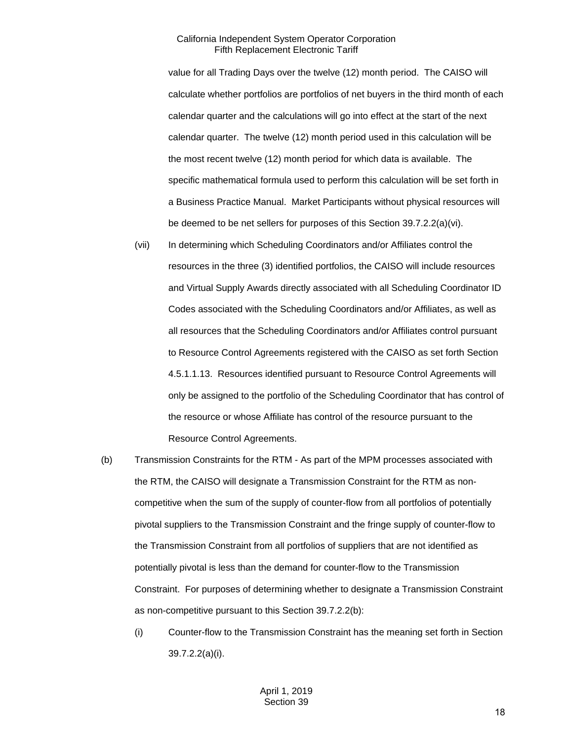value for all Trading Days over the twelve (12) month period. The CAISO will calculate whether portfolios are portfolios of net buyers in the third month of each calendar quarter and the calculations will go into effect at the start of the next calendar quarter. The twelve (12) month period used in this calculation will be the most recent twelve (12) month period for which data is available. The specific mathematical formula used to perform this calculation will be set forth in a Business Practice Manual. Market Participants without physical resources will be deemed to be net sellers for purposes of this Section 39.7.2.2(a)(vi).

- (vii) In determining which Scheduling Coordinators and/or Affiliates control the resources in the three (3) identified portfolios, the CAISO will include resources and Virtual Supply Awards directly associated with all Scheduling Coordinator ID Codes associated with the Scheduling Coordinators and/or Affiliates, as well as all resources that the Scheduling Coordinators and/or Affiliates control pursuant to Resource Control Agreements registered with the CAISO as set forth Section 4.5.1.1.13. Resources identified pursuant to Resource Control Agreements will only be assigned to the portfolio of the Scheduling Coordinator that has control of the resource or whose Affiliate has control of the resource pursuant to the Resource Control Agreements.
- (b) Transmission Constraints for the RTM As part of the MPM processes associated with the RTM, the CAISO will designate a Transmission Constraint for the RTM as noncompetitive when the sum of the supply of counter-flow from all portfolios of potentially pivotal suppliers to the Transmission Constraint and the fringe supply of counter-flow to the Transmission Constraint from all portfolios of suppliers that are not identified as potentially pivotal is less than the demand for counter-flow to the Transmission Constraint. For purposes of determining whether to designate a Transmission Constraint as non-competitive pursuant to this Section 39.7.2.2(b):
	- (i) Counter-flow to the Transmission Constraint has the meaning set forth in Section 39.7.2.2(a)(i).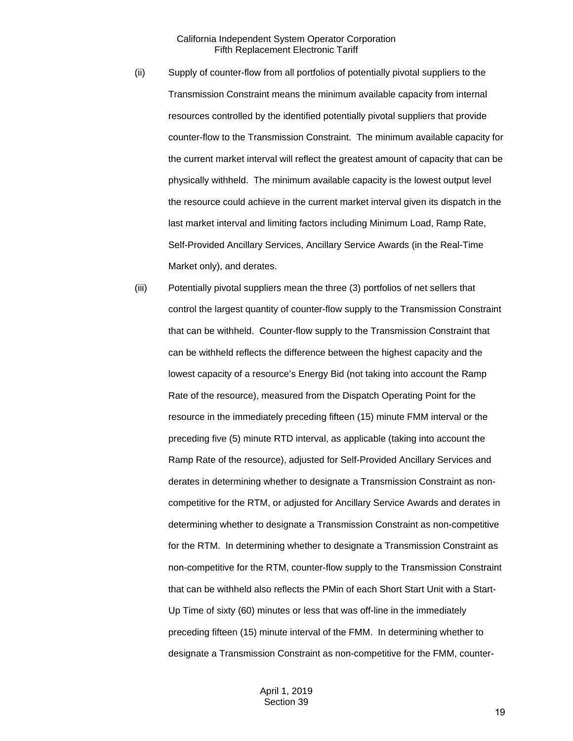- (ii) Supply of counter-flow from all portfolios of potentially pivotal suppliers to the Transmission Constraint means the minimum available capacity from internal resources controlled by the identified potentially pivotal suppliers that provide counter-flow to the Transmission Constraint. The minimum available capacity for the current market interval will reflect the greatest amount of capacity that can be physically withheld. The minimum available capacity is the lowest output level the resource could achieve in the current market interval given its dispatch in the last market interval and limiting factors including Minimum Load, Ramp Rate, Self-Provided Ancillary Services, Ancillary Service Awards (in the Real-Time Market only), and derates.
- (iii) Potentially pivotal suppliers mean the three (3) portfolios of net sellers that control the largest quantity of counter-flow supply to the Transmission Constraint that can be withheld. Counter-flow supply to the Transmission Constraint that can be withheld reflects the difference between the highest capacity and the lowest capacity of a resource's Energy Bid (not taking into account the Ramp Rate of the resource), measured from the Dispatch Operating Point for the resource in the immediately preceding fifteen (15) minute FMM interval or the preceding five (5) minute RTD interval, as applicable (taking into account the Ramp Rate of the resource), adjusted for Self-Provided Ancillary Services and derates in determining whether to designate a Transmission Constraint as noncompetitive for the RTM, or adjusted for Ancillary Service Awards and derates in determining whether to designate a Transmission Constraint as non-competitive for the RTM. In determining whether to designate a Transmission Constraint as non-competitive for the RTM, counter-flow supply to the Transmission Constraint that can be withheld also reflects the PMin of each Short Start Unit with a Start-Up Time of sixty (60) minutes or less that was off-line in the immediately preceding fifteen (15) minute interval of the FMM. In determining whether to designate a Transmission Constraint as non-competitive for the FMM, counter-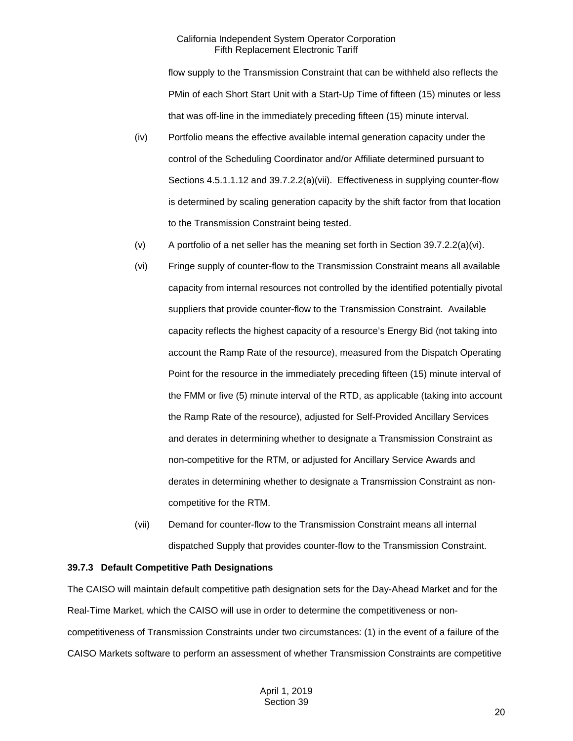flow supply to the Transmission Constraint that can be withheld also reflects the PMin of each Short Start Unit with a Start-Up Time of fifteen (15) minutes or less that was off-line in the immediately preceding fifteen (15) minute interval.

- (iv) Portfolio means the effective available internal generation capacity under the control of the Scheduling Coordinator and/or Affiliate determined pursuant to Sections 4.5.1.1.12 and 39.7.2.2(a)(vii). Effectiveness in supplying counter-flow is determined by scaling generation capacity by the shift factor from that location to the Transmission Constraint being tested.
- (v) A portfolio of a net seller has the meaning set forth in Section 39.7.2.2(a)(vi).
- (vi) Fringe supply of counter-flow to the Transmission Constraint means all available capacity from internal resources not controlled by the identified potentially pivotal suppliers that provide counter-flow to the Transmission Constraint. Available capacity reflects the highest capacity of a resource's Energy Bid (not taking into account the Ramp Rate of the resource), measured from the Dispatch Operating Point for the resource in the immediately preceding fifteen (15) minute interval of the FMM or five (5) minute interval of the RTD, as applicable (taking into account the Ramp Rate of the resource), adjusted for Self-Provided Ancillary Services and derates in determining whether to designate a Transmission Constraint as non-competitive for the RTM, or adjusted for Ancillary Service Awards and derates in determining whether to designate a Transmission Constraint as noncompetitive for the RTM.
- (vii) Demand for counter-flow to the Transmission Constraint means all internal dispatched Supply that provides counter-flow to the Transmission Constraint.

#### <span id="page-19-0"></span>**39.7.3 Default Competitive Path Designations**

The CAISO will maintain default competitive path designation sets for the Day-Ahead Market and for the Real-Time Market, which the CAISO will use in order to determine the competitiveness or noncompetitiveness of Transmission Constraints under two circumstances: (1) in the event of a failure of the CAISO Markets software to perform an assessment of whether Transmission Constraints are competitive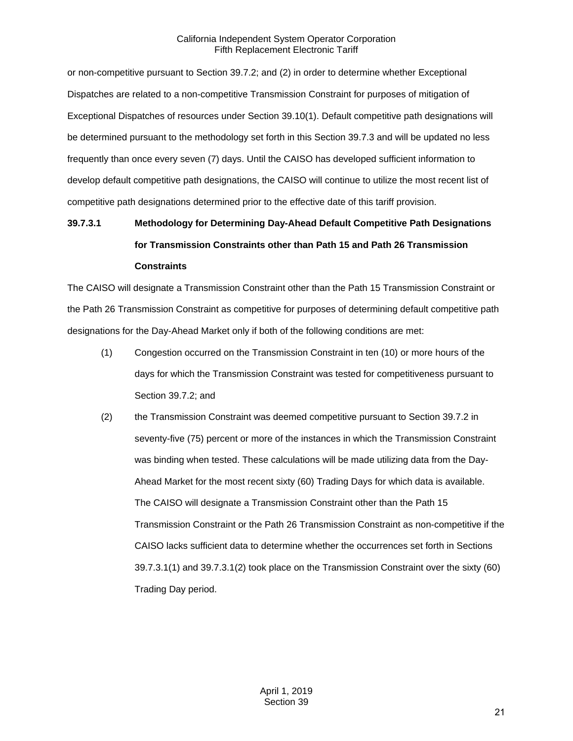or non-competitive pursuant to Section 39.7.2; and (2) in order to determine whether Exceptional Dispatches are related to a non-competitive Transmission Constraint for purposes of mitigation of Exceptional Dispatches of resources under Section 39.10(1). Default competitive path designations will be determined pursuant to the methodology set forth in this Section 39.7.3 and will be updated no less frequently than once every seven (7) days. Until the CAISO has developed sufficient information to develop default competitive path designations, the CAISO will continue to utilize the most recent list of competitive path designations determined prior to the effective date of this tariff provision.

# **39.7.3.1 Methodology for Determining Day-Ahead Default Competitive Path Designations for Transmission Constraints other than Path 15 and Path 26 Transmission Constraints**

The CAISO will designate a Transmission Constraint other than the Path 15 Transmission Constraint or the Path 26 Transmission Constraint as competitive for purposes of determining default competitive path designations for the Day-Ahead Market only if both of the following conditions are met:

- (1) Congestion occurred on the Transmission Constraint in ten (10) or more hours of the days for which the Transmission Constraint was tested for competitiveness pursuant to Section 39.7.2; and
- (2) the Transmission Constraint was deemed competitive pursuant to Section 39.7.2 in seventy-five (75) percent or more of the instances in which the Transmission Constraint was binding when tested. These calculations will be made utilizing data from the Day-Ahead Market for the most recent sixty (60) Trading Days for which data is available. The CAISO will designate a Transmission Constraint other than the Path 15 Transmission Constraint or the Path 26 Transmission Constraint as non-competitive if the CAISO lacks sufficient data to determine whether the occurrences set forth in Sections 39.7.3.1(1) and 39.7.3.1(2) took place on the Transmission Constraint over the sixty (60) Trading Day period.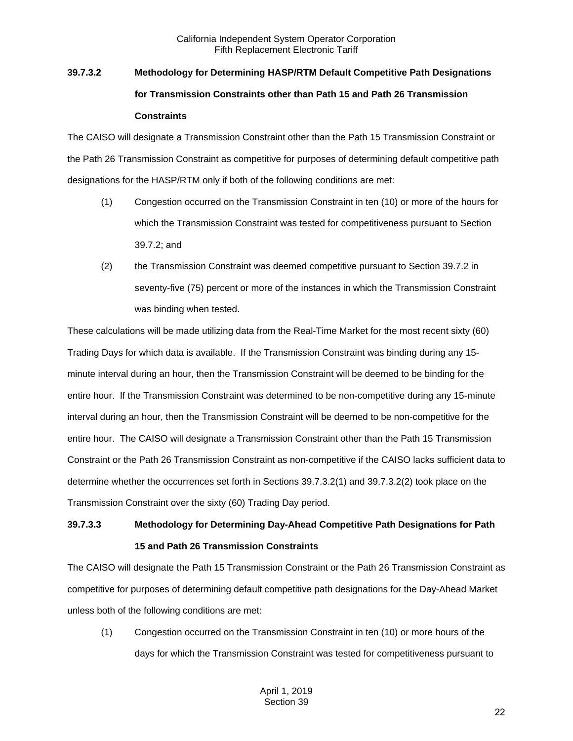# **39.7.3.2 Methodology for Determining HASP/RTM Default Competitive Path Designations for Transmission Constraints other than Path 15 and Path 26 Transmission Constraints**

The CAISO will designate a Transmission Constraint other than the Path 15 Transmission Constraint or the Path 26 Transmission Constraint as competitive for purposes of determining default competitive path designations for the HASP/RTM only if both of the following conditions are met:

- (1) Congestion occurred on the Transmission Constraint in ten (10) or more of the hours for which the Transmission Constraint was tested for competitiveness pursuant to Section 39.7.2; and
- (2) the Transmission Constraint was deemed competitive pursuant to Section 39.7.2 in seventy-five (75) percent or more of the instances in which the Transmission Constraint was binding when tested.

These calculations will be made utilizing data from the Real-Time Market for the most recent sixty (60) Trading Days for which data is available. If the Transmission Constraint was binding during any 15 minute interval during an hour, then the Transmission Constraint will be deemed to be binding for the entire hour. If the Transmission Constraint was determined to be non-competitive during any 15-minute interval during an hour, then the Transmission Constraint will be deemed to be non-competitive for the entire hour. The CAISO will designate a Transmission Constraint other than the Path 15 Transmission Constraint or the Path 26 Transmission Constraint as non-competitive if the CAISO lacks sufficient data to determine whether the occurrences set forth in Sections 39.7.3.2(1) and 39.7.3.2(2) took place on the Transmission Constraint over the sixty (60) Trading Day period.

## **39.7.3.3 Methodology for Determining Day-Ahead Competitive Path Designations for Path 15 and Path 26 Transmission Constraints**

The CAISO will designate the Path 15 Transmission Constraint or the Path 26 Transmission Constraint as competitive for purposes of determining default competitive path designations for the Day-Ahead Market unless both of the following conditions are met:

(1) Congestion occurred on the Transmission Constraint in ten (10) or more hours of the days for which the Transmission Constraint was tested for competitiveness pursuant to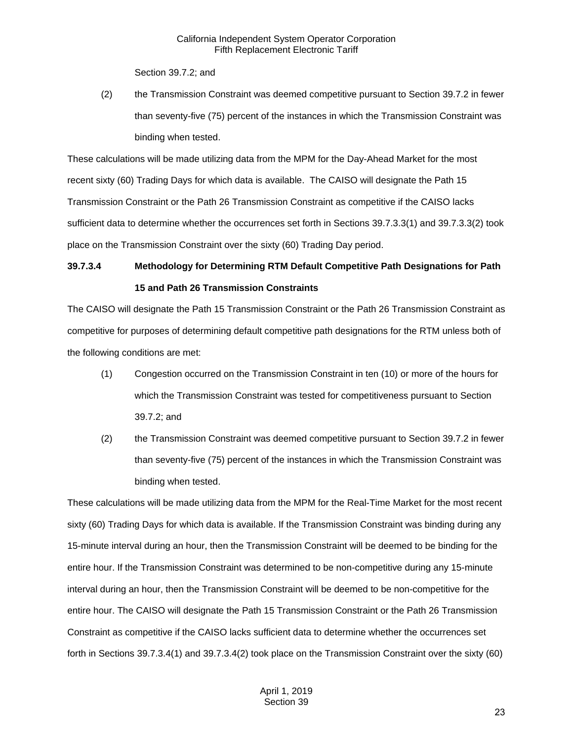Section 39.7.2; and

(2) the Transmission Constraint was deemed competitive pursuant to Section 39.7.2 in fewer than seventy-five (75) percent of the instances in which the Transmission Constraint was binding when tested.

These calculations will be made utilizing data from the MPM for the Day-Ahead Market for the most recent sixty (60) Trading Days for which data is available. The CAISO will designate the Path 15 Transmission Constraint or the Path 26 Transmission Constraint as competitive if the CAISO lacks sufficient data to determine whether the occurrences set forth in Sections 39.7.3.3(1) and 39.7.3.3(2) took place on the Transmission Constraint over the sixty (60) Trading Day period.

## **39.7.3.4 Methodology for Determining RTM Default Competitive Path Designations for Path 15 and Path 26 Transmission Constraints**

The CAISO will designate the Path 15 Transmission Constraint or the Path 26 Transmission Constraint as competitive for purposes of determining default competitive path designations for the RTM unless both of the following conditions are met:

- (1) Congestion occurred on the Transmission Constraint in ten (10) or more of the hours for which the Transmission Constraint was tested for competitiveness pursuant to Section 39.7.2; and
- (2) the Transmission Constraint was deemed competitive pursuant to Section 39.7.2 in fewer than seventy-five (75) percent of the instances in which the Transmission Constraint was binding when tested.

These calculations will be made utilizing data from the MPM for the Real-Time Market for the most recent sixty (60) Trading Days for which data is available. If the Transmission Constraint was binding during any 15-minute interval during an hour, then the Transmission Constraint will be deemed to be binding for the entire hour. If the Transmission Constraint was determined to be non-competitive during any 15-minute interval during an hour, then the Transmission Constraint will be deemed to be non-competitive for the entire hour. The CAISO will designate the Path 15 Transmission Constraint or the Path 26 Transmission Constraint as competitive if the CAISO lacks sufficient data to determine whether the occurrences set forth in Sections 39.7.3.4(1) and 39.7.3.4(2) took place on the Transmission Constraint over the sixty (60)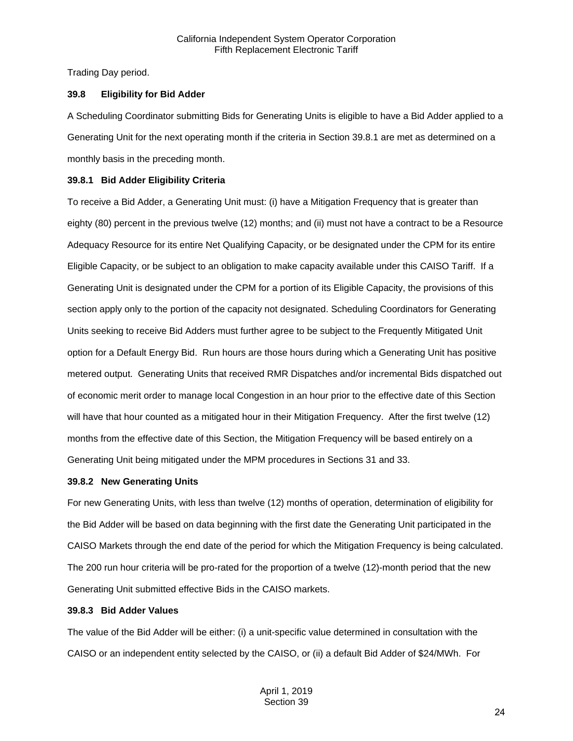Trading Day period.

## <span id="page-23-0"></span>**39.8 Eligibility for Bid Adder**

A Scheduling Coordinator submitting Bids for Generating Units is eligible to have a Bid Adder applied to a Generating Unit for the next operating month if the criteria in Section 39.8.1 are met as determined on a monthly basis in the preceding month.

## <span id="page-23-1"></span>**39.8.1 Bid Adder Eligibility Criteria**

To receive a Bid Adder, a Generating Unit must: (i) have a Mitigation Frequency that is greater than eighty (80) percent in the previous twelve (12) months; and (ii) must not have a contract to be a Resource Adequacy Resource for its entire Net Qualifying Capacity, or be designated under the CPM for its entire Eligible Capacity, or be subject to an obligation to make capacity available under this CAISO Tariff. If a Generating Unit is designated under the CPM for a portion of its Eligible Capacity, the provisions of this section apply only to the portion of the capacity not designated. Scheduling Coordinators for Generating Units seeking to receive Bid Adders must further agree to be subject to the Frequently Mitigated Unit option for a Default Energy Bid. Run hours are those hours during which a Generating Unit has positive metered output. Generating Units that received RMR Dispatches and/or incremental Bids dispatched out of economic merit order to manage local Congestion in an hour prior to the effective date of this Section will have that hour counted as a mitigated hour in their Mitigation Frequency. After the first twelve (12) months from the effective date of this Section, the Mitigation Frequency will be based entirely on a Generating Unit being mitigated under the MPM procedures in Sections 31 and 33.

## <span id="page-23-2"></span>**39.8.2 New Generating Units**

For new Generating Units, with less than twelve (12) months of operation, determination of eligibility for the Bid Adder will be based on data beginning with the first date the Generating Unit participated in the CAISO Markets through the end date of the period for which the Mitigation Frequency is being calculated. The 200 run hour criteria will be pro-rated for the proportion of a twelve (12)-month period that the new Generating Unit submitted effective Bids in the CAISO markets.

## <span id="page-23-3"></span>**39.8.3 Bid Adder Values**

The value of the Bid Adder will be either: (i) a unit-specific value determined in consultation with the CAISO or an independent entity selected by the CAISO, or (ii) a default Bid Adder of \$24/MWh. For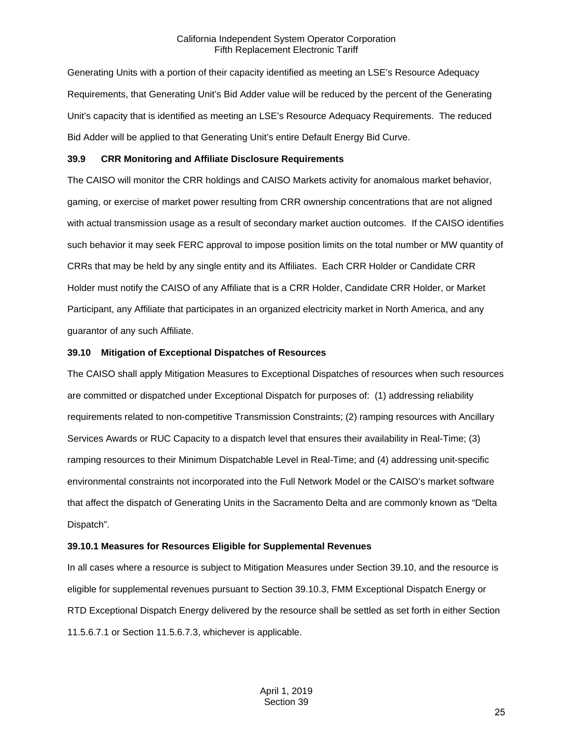Generating Units with a portion of their capacity identified as meeting an LSE's Resource Adequacy Requirements, that Generating Unit's Bid Adder value will be reduced by the percent of the Generating Unit's capacity that is identified as meeting an LSE's Resource Adequacy Requirements. The reduced Bid Adder will be applied to that Generating Unit's entire Default Energy Bid Curve.

#### <span id="page-24-0"></span>**39.9 CRR Monitoring and Affiliate Disclosure Requirements**

The CAISO will monitor the CRR holdings and CAISO Markets activity for anomalous market behavior, gaming, or exercise of market power resulting from CRR ownership concentrations that are not aligned with actual transmission usage as a result of secondary market auction outcomes. If the CAISO identifies such behavior it may seek FERC approval to impose position limits on the total number or MW quantity of CRRs that may be held by any single entity and its Affiliates. Each CRR Holder or Candidate CRR Holder must notify the CAISO of any Affiliate that is a CRR Holder, Candidate CRR Holder, or Market Participant, any Affiliate that participates in an organized electricity market in North America, and any guarantor of any such Affiliate.

## <span id="page-24-1"></span>**39.10 Mitigation of Exceptional Dispatches of Resources**

The CAISO shall apply Mitigation Measures to Exceptional Dispatches of resources when such resources are committed or dispatched under Exceptional Dispatch for purposes of: (1) addressing reliability requirements related to non-competitive Transmission Constraints; (2) ramping resources with Ancillary Services Awards or RUC Capacity to a dispatch level that ensures their availability in Real-Time; (3) ramping resources to their Minimum Dispatchable Level in Real-Time; and (4) addressing unit-specific environmental constraints not incorporated into the Full Network Model or the CAISO's market software that affect the dispatch of Generating Units in the Sacramento Delta and are commonly known as "Delta Dispatch".

## <span id="page-24-2"></span>**39.10.1 Measures for Resources Eligible for Supplemental Revenues**

In all cases where a resource is subject to Mitigation Measures under Section 39.10, and the resource is eligible for supplemental revenues pursuant to Section 39.10.3, FMM Exceptional Dispatch Energy or RTD Exceptional Dispatch Energy delivered by the resource shall be settled as set forth in either Section 11.5.6.7.1 or Section 11.5.6.7.3, whichever is applicable.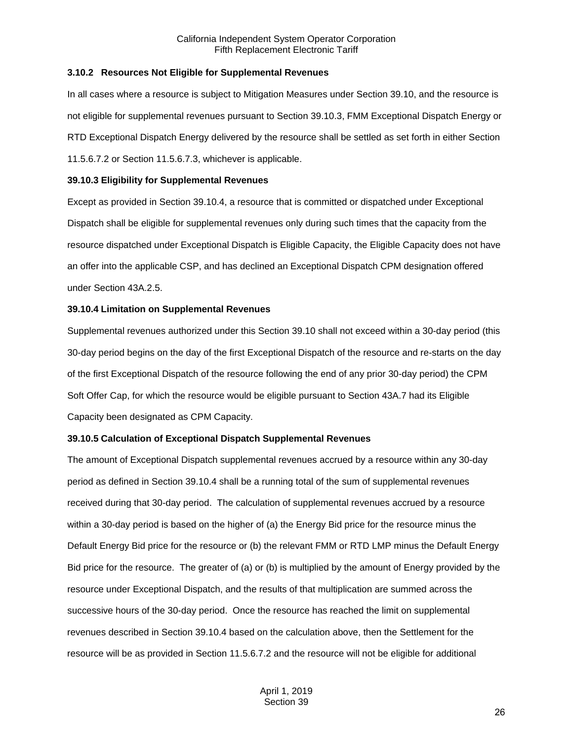#### <span id="page-25-0"></span>**3.10.2 Resources Not Eligible for Supplemental Revenues**

In all cases where a resource is subject to Mitigation Measures under Section 39.10, and the resource is not eligible for supplemental revenues pursuant to Section 39.10.3, FMM Exceptional Dispatch Energy or RTD Exceptional Dispatch Energy delivered by the resource shall be settled as set forth in either Section 11.5.6.7.2 or Section 11.5.6.7.3, whichever is applicable.

#### <span id="page-25-1"></span>**39.10.3 Eligibility for Supplemental Revenues**

Except as provided in Section 39.10.4, a resource that is committed or dispatched under Exceptional Dispatch shall be eligible for supplemental revenues only during such times that the capacity from the resource dispatched under Exceptional Dispatch is Eligible Capacity, the Eligible Capacity does not have an offer into the applicable CSP, and has declined an Exceptional Dispatch CPM designation offered under Section 43A.2.5.

#### <span id="page-25-2"></span>**39.10.4 Limitation on Supplemental Revenues**

Supplemental revenues authorized under this Section 39.10 shall not exceed within a 30-day period (this 30-day period begins on the day of the first Exceptional Dispatch of the resource and re-starts on the day of the first Exceptional Dispatch of the resource following the end of any prior 30-day period) the CPM Soft Offer Cap, for which the resource would be eligible pursuant to Section 43A.7 had its Eligible Capacity been designated as CPM Capacity.

#### <span id="page-25-3"></span>**39.10.5 Calculation of Exceptional Dispatch Supplemental Revenues**

The amount of Exceptional Dispatch supplemental revenues accrued by a resource within any 30-day period as defined in Section 39.10.4 shall be a running total of the sum of supplemental revenues received during that 30-day period. The calculation of supplemental revenues accrued by a resource within a 30-day period is based on the higher of (a) the Energy Bid price for the resource minus the Default Energy Bid price for the resource or (b) the relevant FMM or RTD LMP minus the Default Energy Bid price for the resource. The greater of (a) or (b) is multiplied by the amount of Energy provided by the resource under Exceptional Dispatch, and the results of that multiplication are summed across the successive hours of the 30-day period. Once the resource has reached the limit on supplemental revenues described in Section 39.10.4 based on the calculation above, then the Settlement for the resource will be as provided in Section 11.5.6.7.2 and the resource will not be eligible for additional